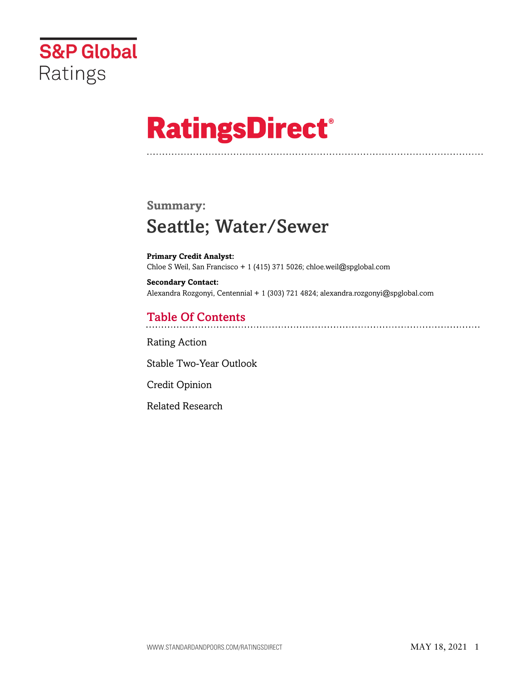

# **RatingsDirect®**

# **Summary:** Seattle; Water/Sewer

**Primary Credit Analyst:** Chloe S Weil, San Francisco + 1 (415) 371 5026; chloe.weil@spglobal.com

**Secondary Contact:** Alexandra Rozgonyi, Centennial + 1 (303) 721 4824; alexandra.rozgonyi@spglobal.com

## Table Of Contents

[Rating Action](#page-1-0)

[Stable Two-Year Outlook](#page-3-0)

[Credit Opinion](#page-3-1)

[Related Research](#page-4-0)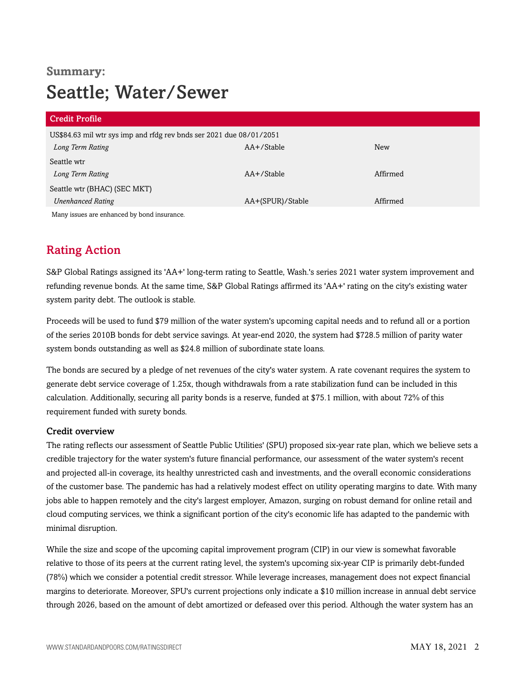# **Summary:** Seattle; Water/Sewer

| <b>Credit Profile</b>                                               |                  |          |
|---------------------------------------------------------------------|------------------|----------|
| US\$84.63 mil wtr sys imp and rfdg rev bnds ser 2021 due 08/01/2051 |                  |          |
| Long Term Rating                                                    | AA+/Stable       | New      |
| Seattle wtr                                                         |                  |          |
| Long Term Rating                                                    | AA+/Stable       | Affirmed |
| Seattle wtr (BHAC) (SEC MKT)                                        |                  |          |
| <b>Unenhanced Rating</b>                                            | AA+(SPUR)/Stable | Affirmed |
| Many issues are enhanced by bond insurance.                         |                  |          |

## <span id="page-1-0"></span>Rating Action

S&P Global Ratings assigned its 'AA+' long-term rating to Seattle, Wash.'s series 2021 water system improvement and refunding revenue bonds. At the same time, S&P Global Ratings affirmed its 'AA+' rating on the city's existing water system parity debt. The outlook is stable.

Proceeds will be used to fund \$79 million of the water system's upcoming capital needs and to refund all or a portion of the series 2010B bonds for debt service savings. At year-end 2020, the system had \$728.5 million of parity water system bonds outstanding as well as \$24.8 million of subordinate state loans.

The bonds are secured by a pledge of net revenues of the city's water system. A rate covenant requires the system to generate debt service coverage of 1.25x, though withdrawals from a rate stabilization fund can be included in this calculation. Additionally, securing all parity bonds is a reserve, funded at \$75.1 million, with about 72% of this requirement funded with surety bonds.

#### Credit overview

The rating reflects our assessment of Seattle Public Utilities' (SPU) proposed six-year rate plan, which we believe sets a credible trajectory for the water system's future financial performance, our assessment of the water system's recent and projected all-in coverage, its healthy unrestricted cash and investments, and the overall economic considerations of the customer base. The pandemic has had a relatively modest effect on utility operating margins to date. With many jobs able to happen remotely and the city's largest employer, Amazon, surging on robust demand for online retail and cloud computing services, we think a significant portion of the city's economic life has adapted to the pandemic with minimal disruption.

While the size and scope of the upcoming capital improvement program (CIP) in our view is somewhat favorable relative to those of its peers at the current rating level, the system's upcoming six-year CIP is primarily debt-funded (78%) which we consider a potential credit stressor. While leverage increases, management does not expect financial margins to deteriorate. Moreover, SPU's current projections only indicate a \$10 million increase in annual debt service through 2026, based on the amount of debt amortized or defeased over this period. Although the water system has an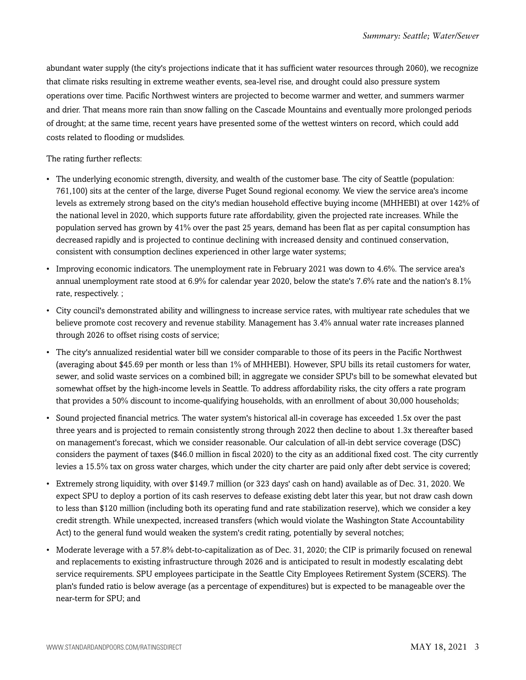abundant water supply (the city's projections indicate that it has sufficient water resources through 2060), we recognize that climate risks resulting in extreme weather events, sea-level rise, and drought could also pressure system operations over time. Pacific Northwest winters are projected to become warmer and wetter, and summers warmer and drier. That means more rain than snow falling on the Cascade Mountains and eventually more prolonged periods of drought; at the same time, recent years have presented some of the wettest winters on record, which could add costs related to flooding or mudslides.

#### The rating further reflects:

- The underlying economic strength, diversity, and wealth of the customer base. The city of Seattle (population: 761,100) sits at the center of the large, diverse Puget Sound regional economy. We view the service area's income levels as extremely strong based on the city's median household effective buying income (MHHEBI) at over 142% of the national level in 2020, which supports future rate affordability, given the projected rate increases. While the population served has grown by 41% over the past 25 years, demand has been flat as per capital consumption has decreased rapidly and is projected to continue declining with increased density and continued conservation, consistent with consumption declines experienced in other large water systems;
- Improving economic indicators. The unemployment rate in February 2021 was down to 4.6%. The service area's annual unemployment rate stood at 6.9% for calendar year 2020, below the state's 7.6% rate and the nation's 8.1% rate, respectively. ;
- City council's demonstrated ability and willingness to increase service rates, with multiyear rate schedules that we believe promote cost recovery and revenue stability. Management has 3.4% annual water rate increases planned through 2026 to offset rising costs of service;
- The city's annualized residential water bill we consider comparable to those of its peers in the Pacific Northwest (averaging about \$45.69 per month or less than 1% of MHHEBI). However, SPU bills its retail customers for water, sewer, and solid waste services on a combined bill; in aggregate we consider SPU's bill to be somewhat elevated but somewhat offset by the high-income levels in Seattle. To address affordability risks, the city offers a rate program that provides a 50% discount to income-qualifying households, with an enrollment of about 30,000 households;
- Sound projected financial metrics. The water system's historical all-in coverage has exceeded 1.5x over the past three years and is projected to remain consistently strong through 2022 then decline to about 1.3x thereafter based on management's forecast, which we consider reasonable. Our calculation of all-in debt service coverage (DSC) considers the payment of taxes (\$46.0 million in fiscal 2020) to the city as an additional fixed cost. The city currently levies a 15.5% tax on gross water charges, which under the city charter are paid only after debt service is covered;
- Extremely strong liquidity, with over \$149.7 million (or 323 days' cash on hand) available as of Dec. 31, 2020. We expect SPU to deploy a portion of its cash reserves to defease existing debt later this year, but not draw cash down to less than \$120 million (including both its operating fund and rate stabilization reserve), which we consider a key credit strength. While unexpected, increased transfers (which would violate the Washington State Accountability Act) to the general fund would weaken the system's credit rating, potentially by several notches;
- Moderate leverage with a 57.8% debt-to-capitalization as of Dec. 31, 2020; the CIP is primarily focused on renewal and replacements to existing infrastructure through 2026 and is anticipated to result in modestly escalating debt service requirements. SPU employees participate in the Seattle City Employees Retirement System (SCERS). The plan's funded ratio is below average (as a percentage of expenditures) but is expected to be manageable over the near-term for SPU; and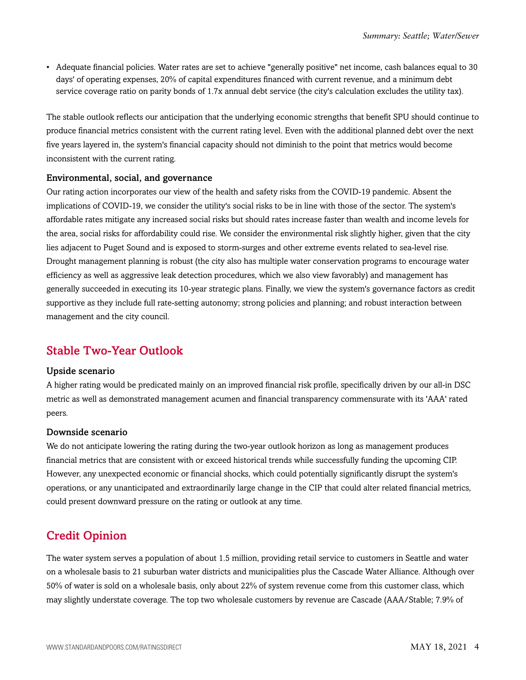• Adequate financial policies. Water rates are set to achieve "generally positive" net income, cash balances equal to 30 days' of operating expenses, 20% of capital expenditures financed with current revenue, and a minimum debt service coverage ratio on parity bonds of 1.7x annual debt service (the city's calculation excludes the utility tax).

The stable outlook reflects our anticipation that the underlying economic strengths that benefit SPU should continue to produce financial metrics consistent with the current rating level. Even with the additional planned debt over the next five years layered in, the system's financial capacity should not diminish to the point that metrics would become inconsistent with the current rating.

#### Environmental, social, and governance

Our rating action incorporates our view of the health and safety risks from the COVID-19 pandemic. Absent the implications of COVID-19, we consider the utility's social risks to be in line with those of the sector. The system's affordable rates mitigate any increased social risks but should rates increase faster than wealth and income levels for the area, social risks for affordability could rise. We consider the environmental risk slightly higher, given that the city lies adjacent to Puget Sound and is exposed to storm-surges and other extreme events related to sea-level rise. Drought management planning is robust (the city also has multiple water conservation programs to encourage water efficiency as well as aggressive leak detection procedures, which we also view favorably) and management has generally succeeded in executing its 10-year strategic plans. Finally, we view the system's governance factors as credit supportive as they include full rate-setting autonomy; strong policies and planning; and robust interaction between management and the city council.

### <span id="page-3-0"></span>Stable Two-Year Outlook

#### Upside scenario

A higher rating would be predicated mainly on an improved financial risk profile, specifically driven by our all-in DSC metric as well as demonstrated management acumen and financial transparency commensurate with its 'AAA' rated peers.

#### Downside scenario

We do not anticipate lowering the rating during the two-year outlook horizon as long as management produces financial metrics that are consistent with or exceed historical trends while successfully funding the upcoming CIP. However, any unexpected economic or financial shocks, which could potentially significantly disrupt the system's operations, or any unanticipated and extraordinarily large change in the CIP that could alter related financial metrics, could present downward pressure on the rating or outlook at any time.

## <span id="page-3-1"></span>Credit Opinion

The water system serves a population of about 1.5 million, providing retail service to customers in Seattle and water on a wholesale basis to 21 suburban water districts and municipalities plus the Cascade Water Alliance. Although over 50% of water is sold on a wholesale basis, only about 22% of system revenue come from this customer class, which may slightly understate coverage. The top two wholesale customers by revenue are Cascade (AAA/Stable; 7.9% of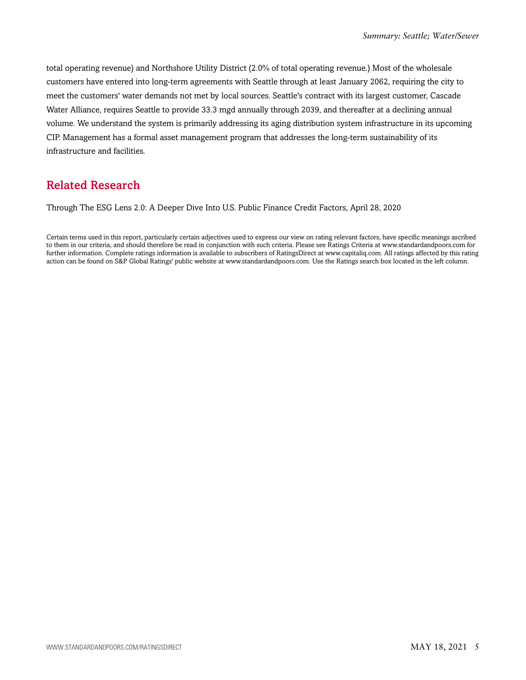total operating revenue) and Northshore Utility District (2.0% of total operating revenue.) Most of the wholesale customers have entered into long-term agreements with Seattle through at least January 2062, requiring the city to meet the customers' water demands not met by local sources. Seattle's contract with its largest customer, Cascade Water Alliance, requires Seattle to provide 33.3 mgd annually through 2039, and thereafter at a declining annual volume. We understand the system is primarily addressing its aging distribution system infrastructure in its upcoming CIP. Management has a formal asset management program that addresses the long-term sustainability of its infrastructure and facilities.

## <span id="page-4-0"></span>Related Research

Through The ESG Lens 2.0: A Deeper Dive Into U.S. Public Finance Credit Factors, April 28, 2020

Certain terms used in this report, particularly certain adjectives used to express our view on rating relevant factors, have specific meanings ascribed to them in our criteria, and should therefore be read in conjunction with such criteria. Please see Ratings Criteria at www.standardandpoors.com for further information. Complete ratings information is available to subscribers of RatingsDirect at www.capitaliq.com. All ratings affected by this rating action can be found on S&P Global Ratings' public website at www.standardandpoors.com. Use the Ratings search box located in the left column.